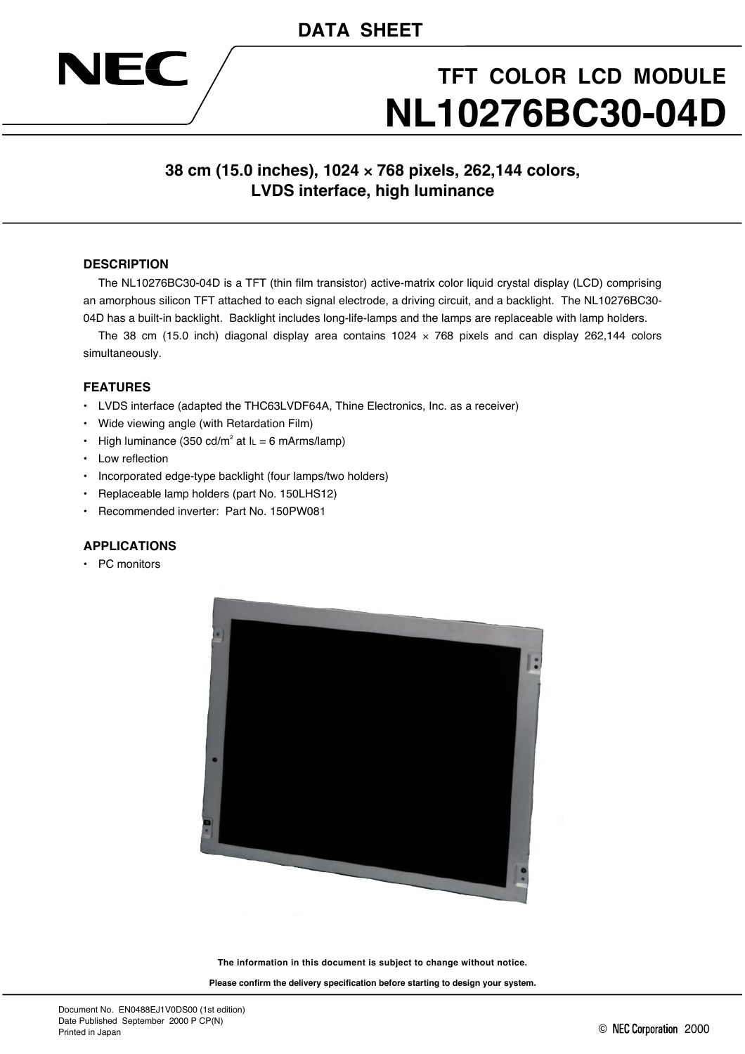## **DATA SHEET**



# **TFT COLOR LCD MODULE NL10276BC30-04D**

### **38 cm (15.0 inches), 1024** × **768 pixels, 262,144 colors, LVDS interface, high luminance**

#### **DESCRIPTION**

The NL10276BC30-04D is a TFT (thin film transistor) active-matrix color liquid crystal display (LCD) comprising an amorphous silicon TFT attached to each signal electrode, a driving circuit, and a backlight. The NL10276BC30- 04D has a built-in backlight. Backlight includes long-life-lamps and the lamps are replaceable with lamp holders.

The 38 cm (15.0 inch) diagonal display area contains 1024  $\times$  768 pixels and can display 262,144 colors simultaneously.

#### **FEATURES**

- LVDS interface (adapted the THC63LVDF64A, Thine Electronics, Inc. as a receiver)
- Wide viewing angle (with Retardation Film)
- High luminance (350 cd/m<sup>2</sup> at  $I_L = 6$  mArms/lamp)
- Low reflection
- Incorporated edge-type backlight (four lamps/two holders)
- Replaceable lamp holders (part No. 150LHS12)
- Recommended inverter: Part No. 150PW081

#### **APPLICATIONS**

• PC monitors



**The information in this document is subject to change without notice.**

**Please confirm the delivery specification before starting to design your system.**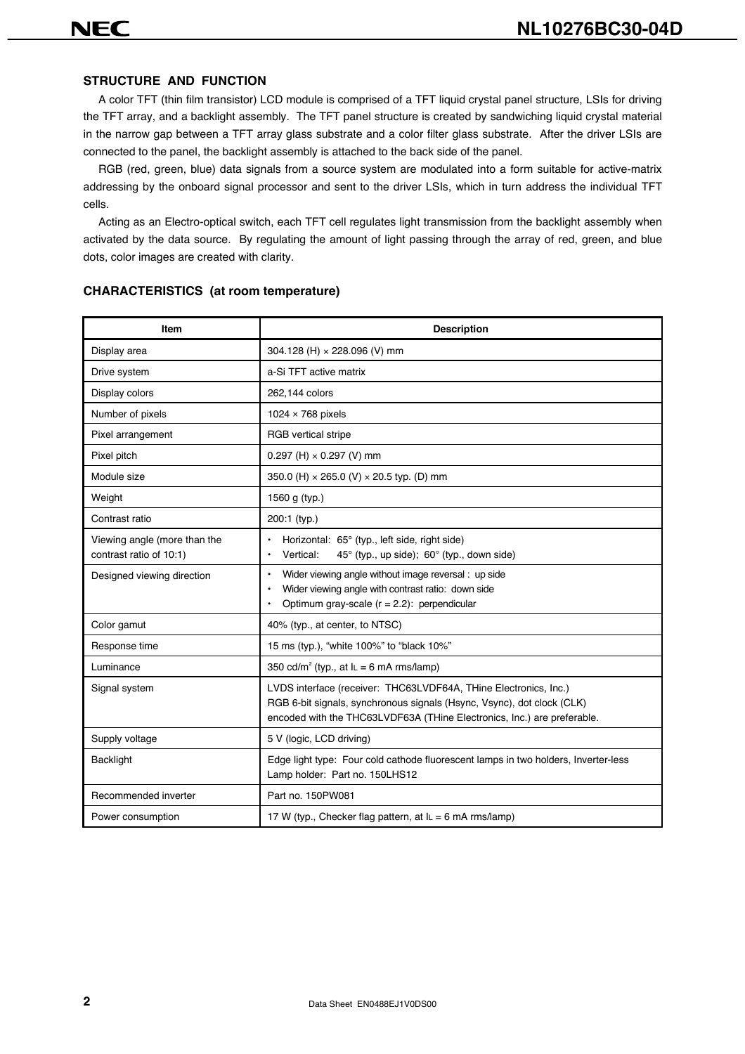#### **STRUCTURE AND FUNCTION**

A color TFT (thin film transistor) LCD module is comprised of a TFT liquid crystal panel structure, LSIs for driving the TFT array, and a backlight assembly. The TFT panel structure is created by sandwiching liquid crystal material in the narrow gap between a TFT array glass substrate and a color filter glass substrate. After the driver LSIs are connected to the panel, the backlight assembly is attached to the back side of the panel.

RGB (red, green, blue) data signals from a source system are modulated into a form suitable for active-matrix addressing by the onboard signal processor and sent to the driver LSIs, which in turn address the individual TFT cells.

Acting as an Electro-optical switch, each TFT cell regulates light transmission from the backlight assembly when activated by the data source. By regulating the amount of light passing through the array of red, green, and blue dots, color images are created with clarity.

| Item                                                    | <b>Description</b>                                                                                                                                                                                                    |
|---------------------------------------------------------|-----------------------------------------------------------------------------------------------------------------------------------------------------------------------------------------------------------------------|
| Display area                                            | 304.128 (H) × 228.096 (V) mm                                                                                                                                                                                          |
| Drive system                                            | a-Si TFT active matrix                                                                                                                                                                                                |
| Display colors                                          | 262,144 colors                                                                                                                                                                                                        |
| Number of pixels                                        | 1024 $\times$ 768 pixels                                                                                                                                                                                              |
| Pixel arrangement                                       | RGB vertical stripe                                                                                                                                                                                                   |
| Pixel pitch                                             | 0.297 (H) $\times$ 0.297 (V) mm                                                                                                                                                                                       |
| Module size                                             | 350.0 (H) × 265.0 (V) × 20.5 typ. (D) mm                                                                                                                                                                              |
| Weight                                                  | 1560 g (typ.)                                                                                                                                                                                                         |
| Contrast ratio                                          | $200:1$ (typ.)                                                                                                                                                                                                        |
| Viewing angle (more than the<br>contrast ratio of 10:1) | Horizontal: 65° (typ., left side, right side)<br>45° (typ., up side); 60° (typ., down side)<br>Vertical:                                                                                                              |
| Designed viewing direction                              | Wider viewing angle without image reversal: up side<br>$\bullet$<br>Wider viewing angle with contrast ratio: down side<br>Optimum gray-scale $(r = 2.2)$ : perpendicular                                              |
| Color gamut                                             | 40% (typ., at center, to NTSC)                                                                                                                                                                                        |
| Response time                                           | 15 ms (typ.), "white 100%" to "black 10%"                                                                                                                                                                             |
| Luminance                                               | 350 cd/m <sup>2</sup> (typ., at $I_L = 6$ mA rms/lamp)                                                                                                                                                                |
| Signal system                                           | LVDS interface (receiver: THC63LVDF64A, THine Electronics, Inc.)<br>RGB 6-bit signals, synchronous signals (Hsync, Vsync), dot clock (CLK)<br>encoded with the THC63LVDF63A (THine Electronics, Inc.) are preferable. |
| Supply voltage                                          | 5 V (logic, LCD driving)                                                                                                                                                                                              |
| <b>Backlight</b>                                        | Edge light type: Four cold cathode fluorescent lamps in two holders, Inverter-less<br>Lamp holder: Part no. 150LHS12                                                                                                  |
| Recommended inverter                                    | Part no. 150PW081                                                                                                                                                                                                     |
| Power consumption                                       | 17 W (typ., Checker flag pattern, at $I_L = 6$ mA rms/lamp)                                                                                                                                                           |

#### **CHARACTERISTICS (at room temperature)**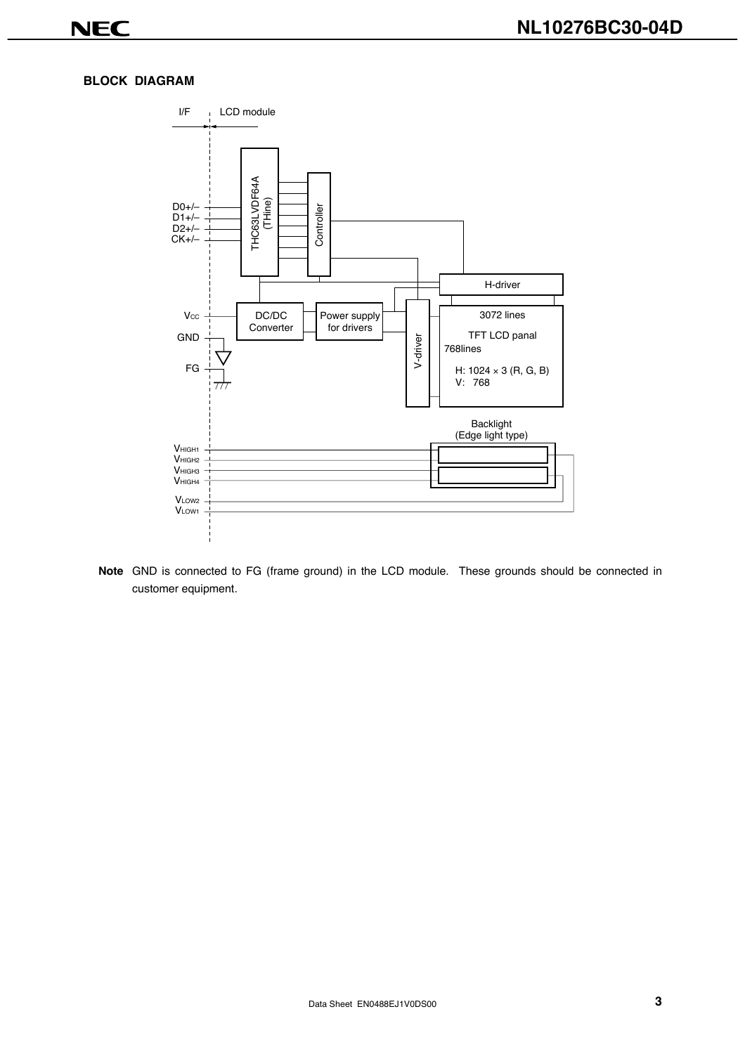#### **BLOCK DIAGRAM**



**Note** GND is connected to FG (frame ground) in the LCD module. These grounds should be connected in customer equipment.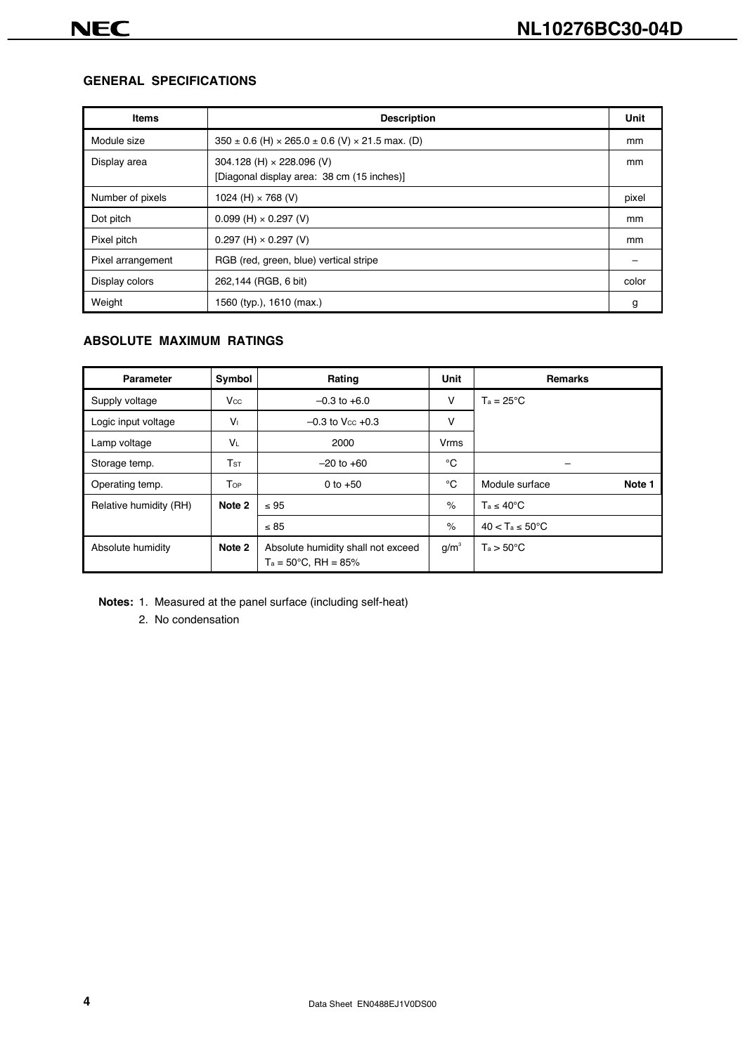#### **GENERAL SPECIFICATIONS**

| <b>Items</b>      | <b>Description</b>                                                             | Unit  |
|-------------------|--------------------------------------------------------------------------------|-------|
| Module size       | $350 \pm 0.6$ (H) $\times$ 265.0 $\pm$ 0.6 (V) $\times$ 21.5 max. (D)          | mm    |
| Display area      | 304.128 (H) $\times$ 228.096 (V)<br>[Diagonal display area: 38 cm (15 inches)] | mm    |
| Number of pixels  | 1024 (H) $\times$ 768 (V)                                                      | pixel |
| Dot pitch         | $0.099$ (H) $\times$ 0.297 (V)                                                 | mm    |
| Pixel pitch       | $0.297$ (H) $\times$ 0.297 (V)                                                 | mm    |
| Pixel arrangement | RGB (red, green, blue) vertical stripe                                         |       |
| Display colors    | 262,144 (RGB, 6 bit)                                                           | color |
| Weight            | 1560 (typ.), 1610 (max.)                                                       | g     |

#### **ABSOLUTE MAXIMUM RATINGS**

| Parameter              | Symbol      | Rating                                                              | Unit    | <b>Remarks</b>               |
|------------------------|-------------|---------------------------------------------------------------------|---------|------------------------------|
| Supply voltage         | Vcc         | $-0.3$ to $+6.0$                                                    | v       | $T_a = 25^{\circ}C$          |
| Logic input voltage    | $V_{\perp}$ | $-0.3$ to V <sub>cc</sub> $+0.3$                                    | v       |                              |
| Lamp voltage           | VL          | 2000                                                                | Vrms    |                              |
| Storage temp.          | $T$ st      | $-20$ to $+60$                                                      | °C      |                              |
| Operating temp.        | Top         | 0 to $+50$                                                          | °C      | Module surface<br>Note 1     |
| Relative humidity (RH) | Note 2      | $\leq 95$                                                           | $\%$    | $T_a \leq 40^{\circ}$ C      |
|                        |             | $\leq 85$                                                           | $\%$    | $40 < T_a \leq 50^{\circ}$ C |
| Absolute humidity      | Note 2      | Absolute humidity shall not exceed<br>$Ta = 50^{\circ}C$ , RH = 85% | $g/m^3$ | $Ta > 50^{\circ}C$           |

**Notes:** 1. Measured at the panel surface (including self-heat)

2. No condensation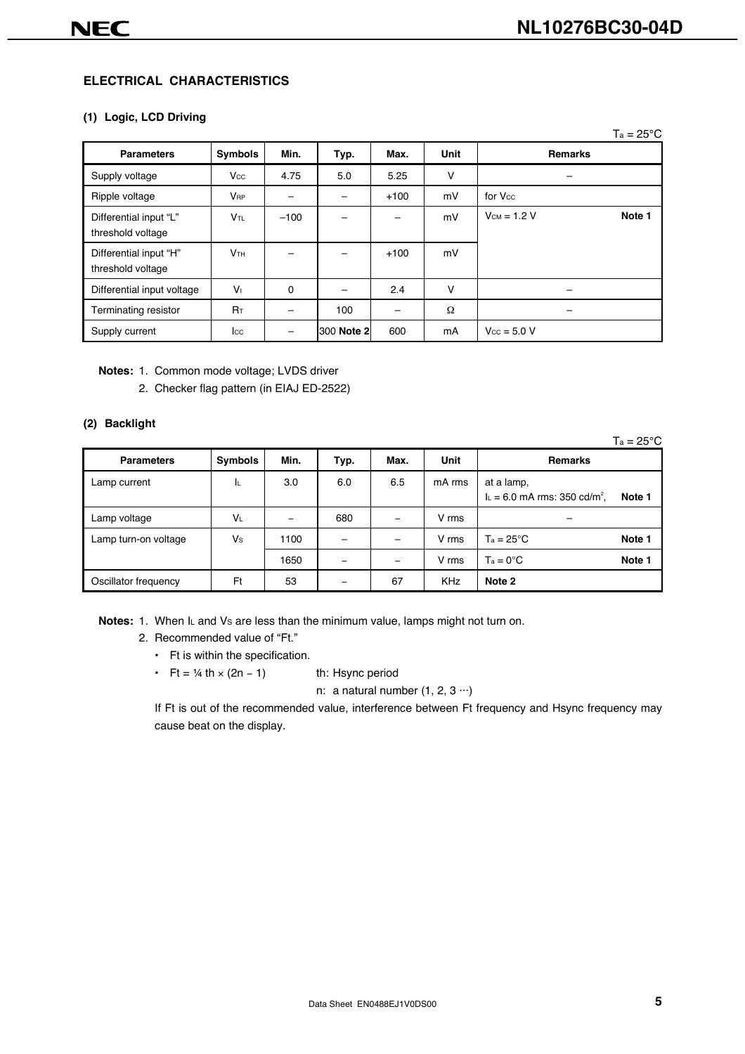#### **ELECTRICAL CHARACTERISTICS**

#### **(1) Logic, LCD Driving**

|                                             |                        |        |            |        |             | $Ta = 25^{\circ}C$      |
|---------------------------------------------|------------------------|--------|------------|--------|-------------|-------------------------|
| <b>Parameters</b>                           | <b>Symbols</b>         | Min.   | Typ.       | Max.   | <b>Unit</b> | <b>Remarks</b>          |
| Supply voltage                              | $V_{\rm CC}$           | 4.75   | 5.0        | 5.25   | ٧           |                         |
| Ripple voltage                              | <b>V<sub>RP</sub></b>  |        |            | $+100$ | mV          | for V <sub>cc</sub>     |
| Differential input "L"<br>threshold voltage | V <sub>TL</sub>        | $-100$ |            |        | mV          | $Vcm = 1.2 V$<br>Note 1 |
| Differential input "H"<br>threshold voltage | <b>V</b> <sub>TH</sub> | -      |            | $+100$ | mV          |                         |
| Differential input voltage                  | V <sub>1</sub>         | 0      |            | 2.4    | V           |                         |
| Terminating resistor                        | R <sub>T</sub>         |        | 100        |        | $\Omega$    |                         |
| Supply current                              | $_{\rm lcc}$           |        | 300 Note 2 | 600    | mA          | $V_{\text{CC}} = 5.0 V$ |

**Notes:** 1. Common mode voltage; LVDS driver

2. Checker flag pattern (in EIAJ ED-2522)

#### **(2) Backlight**

|                      |                |      |      |                          |            | $Ta = 25^{\circ}C$                                                  |
|----------------------|----------------|------|------|--------------------------|------------|---------------------------------------------------------------------|
| <b>Parameters</b>    | <b>Symbols</b> | Min. | Typ. | Max.                     | Unit       | <b>Remarks</b>                                                      |
| Lamp current         | ΙL             | 3.0  | 6.0  | 6.5                      | mA rms     | at a lamp,<br>$I_L = 6.0$ mA rms: 350 cd/m <sup>2</sup> ,<br>Note 1 |
| Lamp voltage         | VL             |      | 680  | $\overline{\phantom{0}}$ | V rms      | -                                                                   |
| Lamp turn-on voltage | Vs             | 1100 |      | -                        | V rms      | $T_a = 25^{\circ}C$<br>Note 1                                       |
|                      |                | 1650 |      | $\overline{\phantom{0}}$ | V rms      | $Ta = 0^{\circ}C$<br>Note 1                                         |
| Oscillator frequency | Ft             | 53   |      | 67                       | <b>KHz</b> | Note 2                                                              |

**Notes:** 1. When IL and Vs are less than the minimum value, lamps might not turn on.

#### 2. Recommended value of "Ft."

- Ft is within the specification.
- Ft =  $\frac{1}{4}$  th × (2n 1) th: Hsync period

n: a natural number  $(1, 2, 3 \cdots)$ 

If Ft is out of the recommended value, interference between Ft frequency and Hsync frequency may cause beat on the display.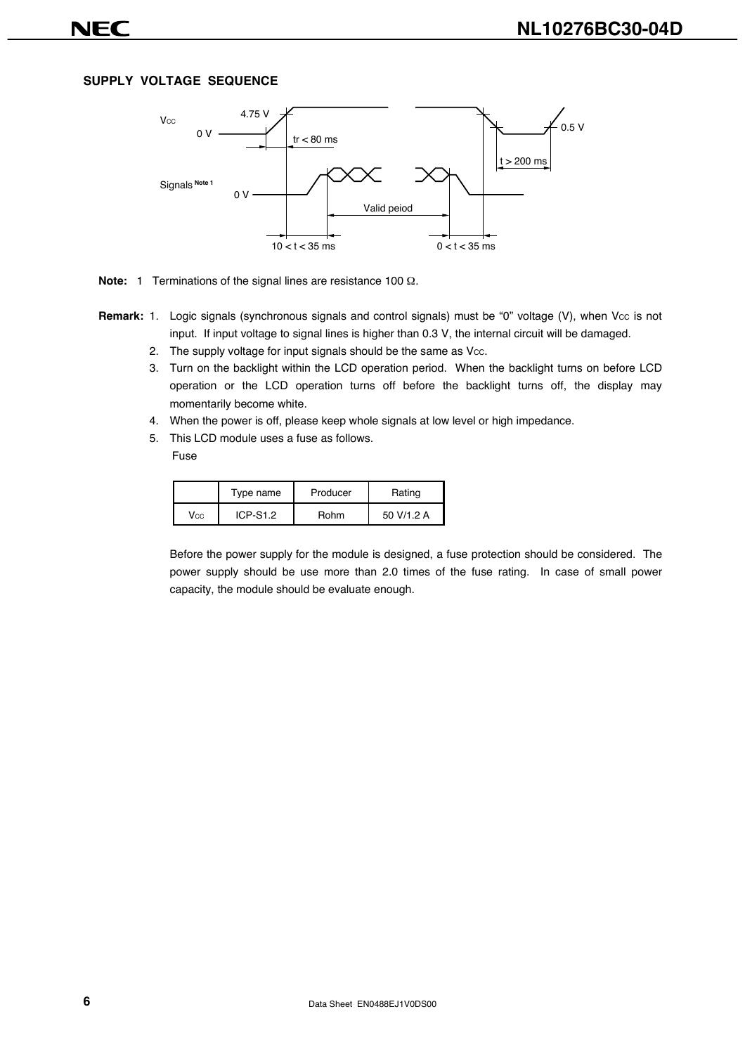#### **SUPPLY VOLTAGE SEQUENCE**



**Note:** 1 Terminations of the signal lines are resistance 100 Ω.

- **Remark:** 1. Logic signals (synchronous signals and control signals) must be "0" voltage (V), when Vcc is not input. If input voltage to signal lines is higher than 0.3 V, the internal circuit will be damaged.
	- 2. The supply voltage for input signals should be the same as Vcc.
	- 3. Turn on the backlight within the LCD operation period. When the backlight turns on before LCD operation or the LCD operation turns off before the backlight turns off, the display may momentarily become white.
	- 4. When the power is off, please keep whole signals at low level or high impedance.
	- 5. This LCD module uses a fuse as follows. Fuse

|              | Type name  | Producer | Rating     |  |  |  |  |
|--------------|------------|----------|------------|--|--|--|--|
| $V_{\rm CC}$ | $ICP-S1.2$ | Rohm     | 50 V/1.2 A |  |  |  |  |

Before the power supply for the module is designed, a fuse protection should be considered. The power supply should be use more than 2.0 times of the fuse rating. In case of small power capacity, the module should be evaluate enough.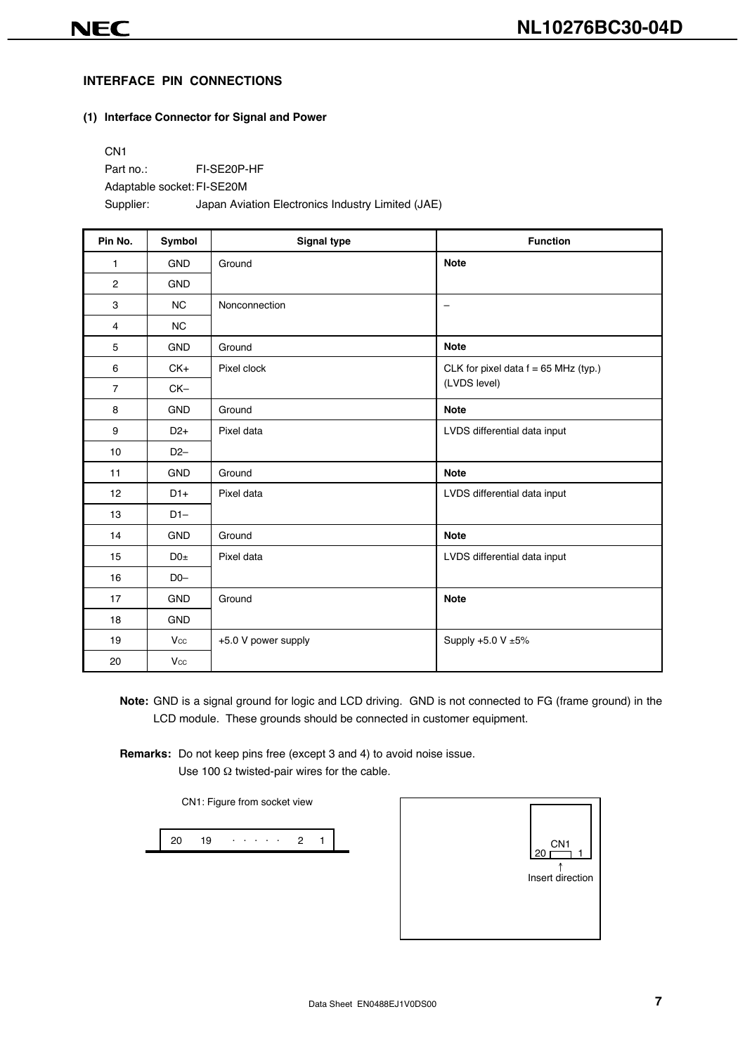#### **INTERFACE PIN CONNECTIONS**

#### **(1) Interface Connector for Signal and Power**

CN1 Part no.: FI-SE20P-HF Adaptable socket: FI-SE20M Supplier: Japan Aviation Electronics Industry Limited (JAE)

| Pin No.        | Symbol     | <b>Signal type</b>  | <b>Function</b>                        |
|----------------|------------|---------------------|----------------------------------------|
| 1              | <b>GND</b> | Ground              | <b>Note</b>                            |
| $\overline{2}$ | <b>GND</b> |                     |                                        |
| 3              | <b>NC</b>  | Nonconnection       | $\qquad \qquad -$                      |
| 4              | NC         |                     |                                        |
| 5              | <b>GND</b> | Ground              | <b>Note</b>                            |
| 6              | $CK+$      | Pixel clock         | CLK for pixel data $f = 65$ MHz (typ.) |
| $\overline{7}$ | $CK-$      |                     | (LVDS level)                           |
| 8              | <b>GND</b> | Ground              | <b>Note</b>                            |
| 9              | $D2+$      | Pixel data          | LVDS differential data input           |
| 10             | $D2-$      |                     |                                        |
| 11             | <b>GND</b> | Ground              | <b>Note</b>                            |
| 12             | $D1+$      | Pixel data          | LVDS differential data input           |
| 13             | $D1-$      |                     |                                        |
| 14             | <b>GND</b> | Ground              | <b>Note</b>                            |
| 15             | $D0\pm$    | Pixel data          | LVDS differential data input           |
| 16             | $D0-$      |                     |                                        |
| 17             | <b>GND</b> | Ground              | <b>Note</b>                            |
| 18             | <b>GND</b> |                     |                                        |
| 19             | Vcc        | +5.0 V power supply | Supply +5.0 V ±5%                      |
| 20             | Vcc        |                     |                                        |

**Note:** GND is a signal ground for logic and LCD driving. GND is not connected to FG (frame ground) in the LCD module. These grounds should be connected in customer equipment.

**Remarks:** Do not keep pins free (except 3 and 4) to avoid noise issue. Use 100 Ω twisted-pair wires for the cable.

CN1: Figure from socket view

20 19 · · · · · 2 1

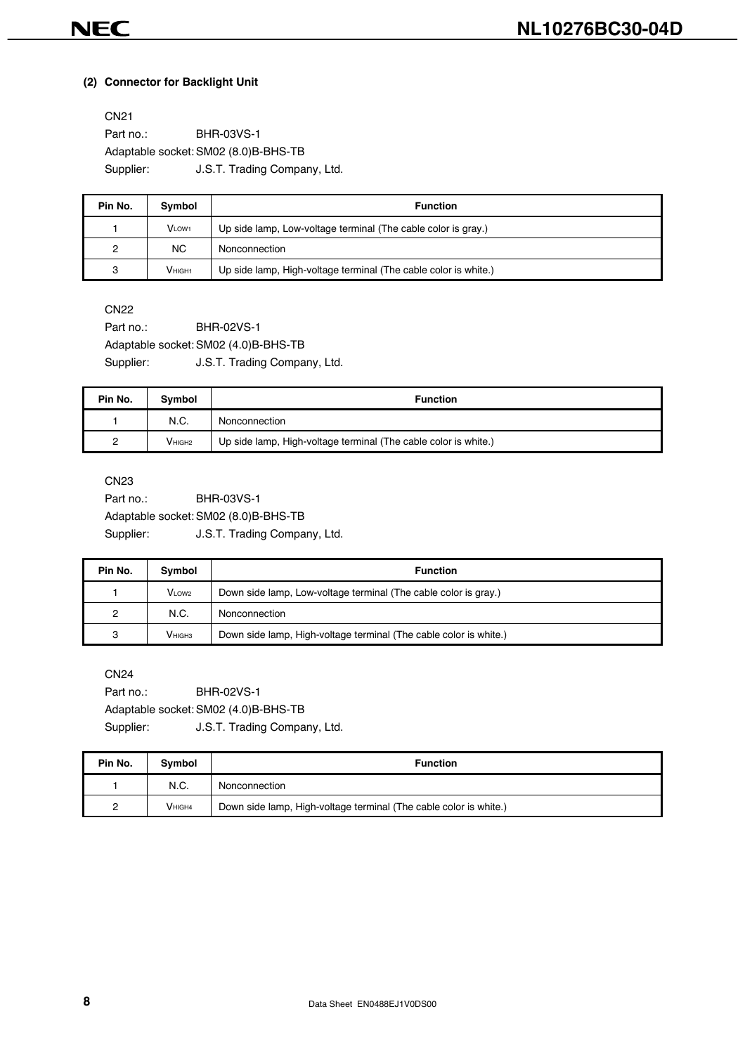#### **(2) Connector for Backlight Unit**

CN21 Part no.: **BHR-03VS-1** Adaptable socket: SM02 (8.0)B-BHS-TB Supplier: **J.S.T. Trading Company, Ltd.** 

| Pin No. | Symbol            | <b>Function</b>                                                 |
|---------|-------------------|-----------------------------------------------------------------|
|         | VLOW <sub>1</sub> | Up side lamp, Low-voltage terminal (The cable color is gray.)   |
| 2       | <b>NC</b>         | Nonconnection                                                   |
| 3       | <b>VHIGH1</b>     | Up side lamp, High-voltage terminal (The cable color is white.) |

CN22

Part no.: **BHR-02VS-1** Adaptable socket: SM02 (4.0)B-BHS-TB Supplier: J.S.T. Trading Company, Ltd.

| Pin No. | Symbol             | <b>Function</b>                                                 |
|---------|--------------------|-----------------------------------------------------------------|
|         | N.C.               | Nonconnection                                                   |
| っ       | V <sub>HIGH2</sub> | Up side lamp, High-voltage terminal (The cable color is white.) |

CN23

Part no.: **BHR-03VS-1** Adaptable socket: SM02 (8.0)B-BHS-TB Supplier: J.S.T. Trading Company, Ltd.

| Pin No. | Symbol               | <b>Function</b>                                                   |
|---------|----------------------|-------------------------------------------------------------------|
|         | $VL$ OW <sub>2</sub> | Down side lamp, Low-voltage terminal (The cable color is gray.)   |
| 2       | N.C.                 | Nonconnection                                                     |
| 3       | <b>V</b> ніснз       | Down side lamp, High-voltage terminal (The cable color is white.) |

CN24

Part no.: **BHR-02VS-1** Adaptable socket: SM02 (4.0)B-BHS-TB Supplier: J.S.T. Trading Company, Ltd.

| Pin No. | Symbol             | <b>Function</b>                                                   |
|---------|--------------------|-------------------------------------------------------------------|
|         | N.C.               | Nonconnection                                                     |
|         | V <sub>HIGH4</sub> | Down side lamp, High-voltage terminal (The cable color is white.) |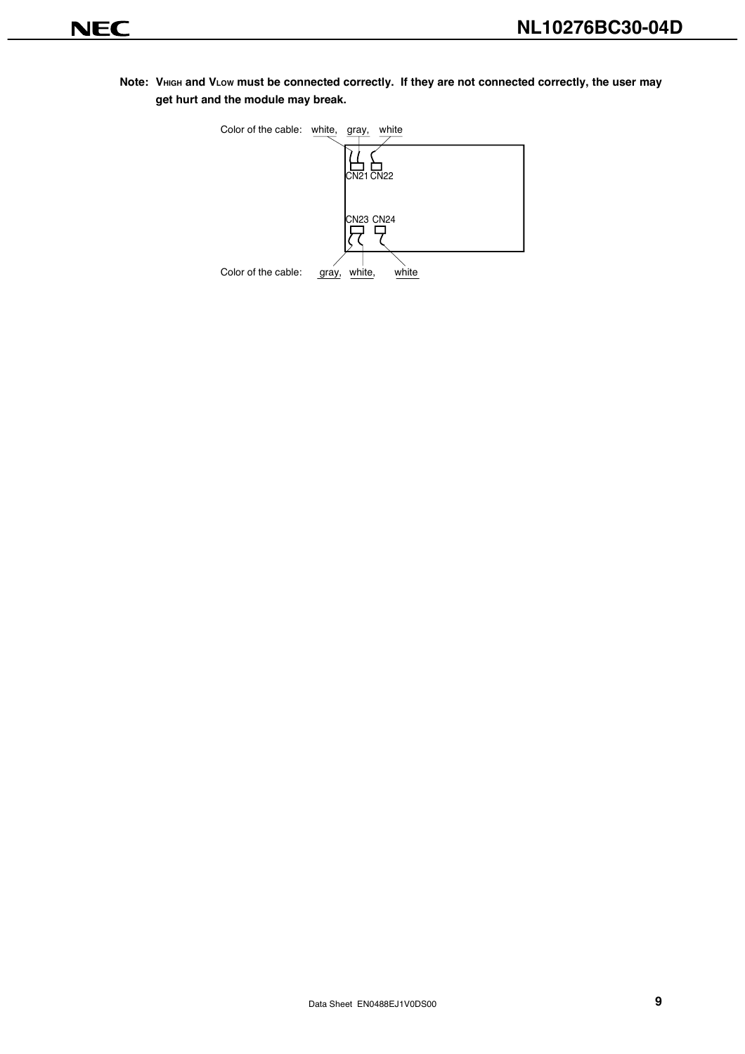Note: VHIGH and VLOW must be connected correctly. If they are not connected correctly, the user may **get hurt and the module may break.**

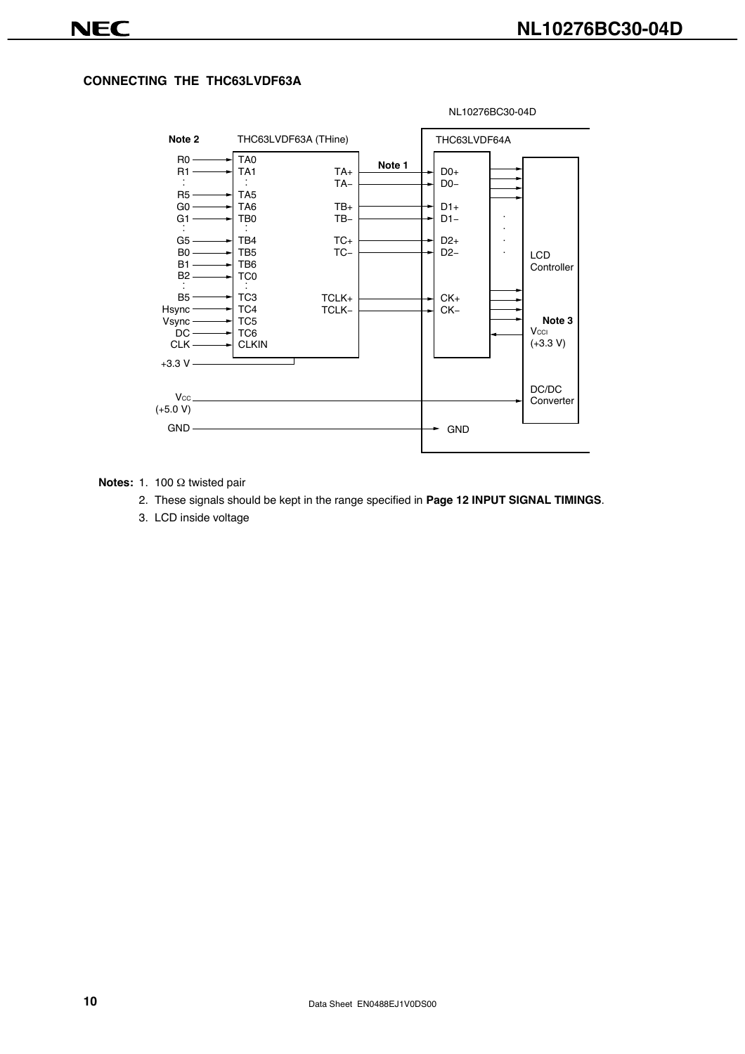#### **CONNECTING THE THC63LVDF63A**



#### **Notes:** 1. 100 Ω twisted pair

- 2. These signals should be kept in the range specified in **Page 12 INPUT SIGNAL TIMINGS**.
- 3. LCD inside voltage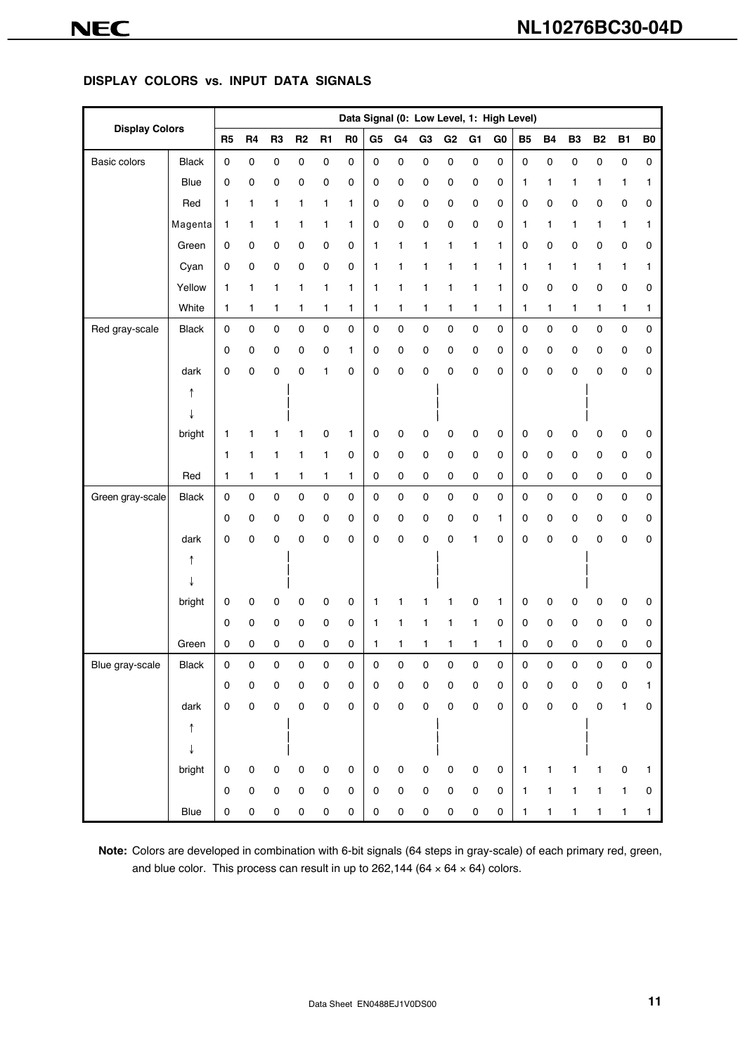#### **DISPLAY COLORS vs. INPUT DATA SIGNALS**

| <b>Display Colors</b> |              | Data Signal (0: Low Level, 1: High Level) |                |                |                     |                     |                |                |                |                |                     |                |                |              |              |             |           |             |             |
|-----------------------|--------------|-------------------------------------------|----------------|----------------|---------------------|---------------------|----------------|----------------|----------------|----------------|---------------------|----------------|----------------|--------------|--------------|-------------|-----------|-------------|-------------|
|                       |              | R <sub>5</sub>                            | R <sub>4</sub> | R <sub>3</sub> | R2                  | <b>R1</b>           | R <sub>0</sub> | G <sub>5</sub> | G <sub>4</sub> | G <sub>3</sub> | G <sub>2</sub>      | G <sub>1</sub> | G <sub>0</sub> | <b>B5</b>    | <b>B4</b>    | <b>B3</b>   | <b>B2</b> | <b>B1</b>   | ${\bf B0}$  |
| Basic colors          | <b>Black</b> | $\pmb{0}$                                 | $\pmb{0}$      | $\mathsf 0$    | $\mathsf 0$         | 0                   | 0              | $\pmb{0}$      | $\pmb{0}$      | $\mathsf 0$    | 0                   | 0              | 0              | $\pmb{0}$    | $\mathbf 0$  | $\pmb{0}$   | 0         | $\pmb{0}$   | $\mathsf 0$ |
|                       | Blue         | $\pmb{0}$                                 | $\pmb{0}$      | 0              | 0                   | 0                   | 0              | $\mathsf 0$    | 0              | $\mathbf 0$    | 0                   | 0              | 0              | 1            | 1            | 1           | 1         | 1           | 1           |
|                       | Red          | 1                                         | 1              | 1              | 1                   | 1                   | 1              | 0              | 0              | 0              | 0                   | 0              | 0              | 0            | 0            | 0           | 0         | 0           | 0           |
|                       | Magenta      | 1                                         | 1              | 1              | 1                   | 1                   | 1              | 0              | 0              | 0              | 0                   | 0              | 0              | 1            | 1            | 1           | 1         | 1           | 1           |
|                       | Green        | 0                                         | 0              | 0              | 0                   | 0                   | 0              | 1              | 1              | 1              | 1                   | 1              | 1              | 0            | 0            | 0           | 0         | 0           | 0           |
|                       | Cyan         | 0                                         | 0              | 0              | 0                   | 0                   | 0              | 1              | 1              | 1              | 1                   | 1              | 1              | 1            | 1            | 1           | 1         | 1           | 1           |
|                       | Yellow       | 1                                         | 1              | 1              | 1                   | 1                   | 1              | 1              | 1              | 1              | 1                   | 1              | 1              | 0            | $\mathsf 0$  | $\pmb{0}$   | 0         | $\pmb{0}$   | 0           |
|                       | White        | $\mathbf{1}$                              | 1              | 1              | 1                   | 1                   | 1              | 1              | 1              | 1              | 1                   | 1              | 1              | 1            | 1            | 1           | 1         | 1           | 1           |
| Red gray-scale        | <b>Black</b> | $\mathbf 0$                               | $\pmb{0}$      | 0              | $\pmb{0}$           | 0                   | 0              | $\mathsf 0$    | $\pmb{0}$      | 0              | 0                   | 0              | $\pmb{0}$      | $\mathsf 0$  | $\mathsf 0$  | $\pmb{0}$   | $\pmb{0}$ | $\mathsf 0$ | 0           |
|                       |              | $\mathbf 0$                               | $\pmb{0}$      | 0              | 0                   | 0                   | 1              | $\mathsf 0$    | 0              | 0              | 0                   | 0              | 0              | 0            | $\pmb{0}$    | 0           | 0         | 0           | 0           |
|                       | dark         | 0                                         | 0              | 0              | 0                   | 1                   | 0              | 0              | 0              | 0              | 0                   | 0              | 0              | 0            | 0            | 0           | 0         | 0           | 0           |
|                       | ↑            |                                           |                |                |                     |                     |                |                |                |                |                     |                |                |              |              |             |           |             |             |
|                       |              |                                           |                |                |                     |                     |                |                |                |                |                     |                |                |              |              |             |           |             |             |
|                       | bright       | 1                                         | 1              |                | 1                   | 0                   | 1              | 0              | 0              | 0              | 0                   | 0              | 0              | 0            | 0            | 0           | 0         | 0           | 0           |
|                       |              | 1                                         | 1              | 1              | 1                   | $\mathbf{1}$        | 0              | $\mathsf 0$    | 0              | 0              | $\pmb{0}$           | 0              | 0              | $\mathbf 0$  | $\pmb{0}$    | $\mathbf 0$ | 0         | 0           | 0           |
|                       | Red          | 1                                         | 1              | 1              | 1                   | 1                   | 1              | 0              | 0              | $\mathsf 0$    | 0                   | 0              | 0              | $\mathsf 0$  | $\pmb{0}$    | $\mathbf 0$ | 0         | 0           | 0           |
| Green gray-scale      | <b>Black</b> | $\mathbf 0$                               | $\pmb{0}$      | 0              | $\pmb{0}$           | $\pmb{0}$           | $\pmb{0}$      | $\mathsf 0$    | 0              | $\pmb{0}$      | 0                   | 0              | 0              | $\mathsf 0$  | $\pmb{0}$    | $\mathsf 0$ | $\pmb{0}$ | 0           | 0           |
|                       |              | 0                                         | 0              | 0              | 0                   | 0                   | 0              | 0              | 0              | 0              | 0                   | 0              | 1              | 0            | 0            | 0           | 0         | 0           | 0           |
|                       | dark         | 0                                         | 0              | 0              | 0                   | 0                   | 0              | 0              | 0              | 0              | 0                   | 1              | 0              | 0            | $\mathbf 0$  | 0           | 0         | 0           | 0           |
|                       | ↑            |                                           |                |                |                     |                     |                |                |                |                |                     |                |                |              |              |             |           |             |             |
|                       |              |                                           |                |                |                     |                     |                |                |                |                |                     |                |                |              |              |             |           |             |             |
|                       | bright       | $\pmb{0}$                                 | 0              | 0              | 0                   | 0                   | 0              | 1              | 1              | 1              | 1                   | 0              | 1              | 0            | $\pmb{0}$    | 0           | 0         | 0           | 0           |
|                       |              | 0                                         | 0              | 0              | 0                   | 0                   | 0              | 1              | 1              | 1              | 1                   | 1              | 0              | 0            | 0            | 0           | 0         | 0           | 0           |
|                       | Green        | 0                                         | 0              | 0              | 0                   | 0                   | 0              | 1              | 1              | 1              | 1                   | 1              | 1              | 0            | 0            | 0           | 0         | 0           | 0           |
| Blue gray-scale       | <b>Black</b> | $\pmb{0}$                                 | 0              | 0              | 0                   | 0                   | $\Omega$       | U              | 0              | $\Omega$       | 0                   | 0              | 0              | 0            | $\Omega$     | 0           | $\Omega$  | U           | 0           |
|                       |              | $\mathbf 0$                               | $\mathsf 0$    | 0              | 0                   | $\mathsf 0$         | $\mathbf 0$    | 0              | 0              | $\pmb{0}$      | 0                   | 0              | $\mathbf 0$    | 0            | $\mathsf 0$  | $\pmb{0}$   | 0         | 0           | 1           |
|                       | dark         | $\pmb{0}$                                 | $\pmb{0}$      | $\mathsf 0$    | $\mathsf 0$         | 0                   | $\pmb{0}$      | $\mathbf 0$    | 0              | $\pmb{0}$      | $\pmb{0}$           | $\pmb{0}$      | 0              | $\mathbf 0$  | $\pmb{0}$    | $\pmb{0}$   | 0         | 1           | 0           |
|                       | ↑            |                                           |                |                |                     |                     |                |                |                |                |                     |                |                |              |              |             |           |             |             |
|                       | ↓            |                                           |                |                |                     |                     |                |                |                |                |                     |                |                |              |              |             |           |             |             |
|                       | bright       | $\mathbf 0$                               | 0              | 0              | $\mathsf 0$         | $\pmb{0}$           | 0              | 0              | 0              | 0              | 0                   | 0              | 0              | $\mathbf{1}$ | 1            | 1           | 1         | 0           | 1           |
|                       |              | $\pmb{0}$                                 | $\pmb{0}$      | 0              | $\mathsf{O}\xspace$ | $\mathsf{O}\xspace$ | $\mathbf 0$    | 0              | 0              | $\mathsf 0$    | $\mathsf{O}\xspace$ | $\pmb{0}$      | $\mathbf 0$    | 1            | $\mathbf{1}$ | 1           | 1         | 1           | 0           |
|                       | Blue         | $\pmb{0}$                                 | $\pmb{0}$      | $\pmb{0}$      | $\pmb{0}$           | $\pmb{0}$           | $\pmb{0}$      | 0              | 0              | $\pmb{0}$      | 0                   | $\pmb{0}$      | 0              | $\mathbf{1}$ | $\mathbf{1}$ | 1           | 1         | 1           | 1           |

**Note:** Colors are developed in combination with 6-bit signals (64 steps in gray-scale) of each primary red, green, and blue color. This process can result in up to 262,144 (64  $\times$  64  $\times$  64) colors.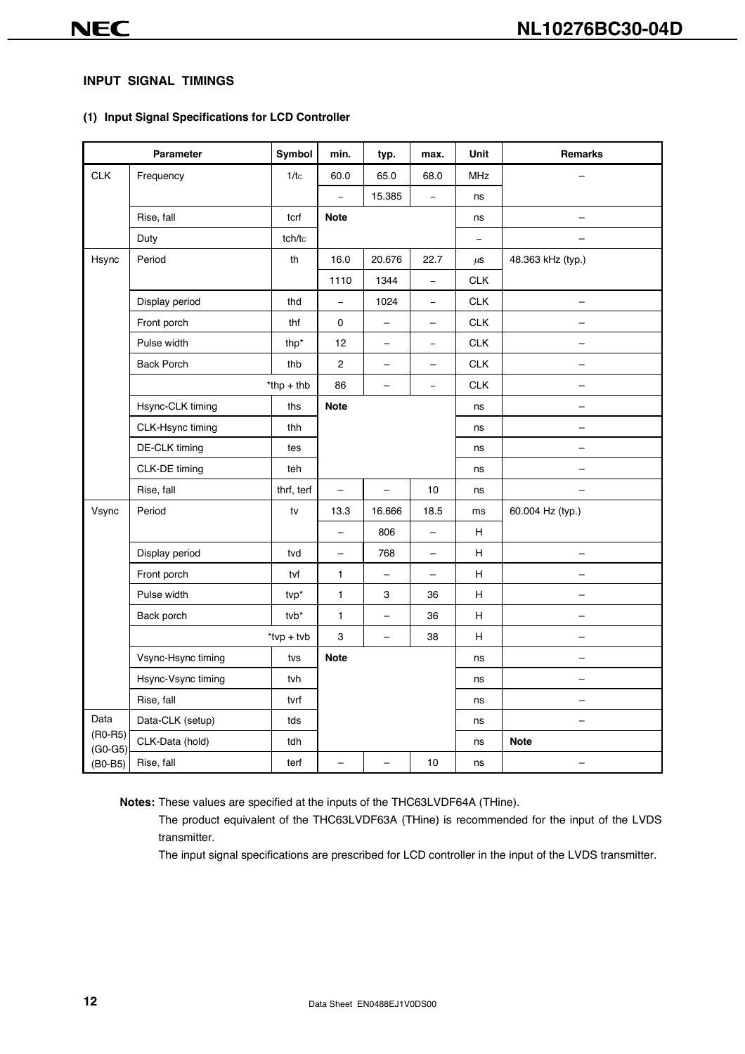#### **INPUT SIGNAL TIMINGS**

#### **(1) Input Signal Specifications for LCD Controller**

|                        | Parameter          | Symbol        | min.                     | typ.                     | max.                     | Unit              | <b>Remarks</b>           |
|------------------------|--------------------|---------------|--------------------------|--------------------------|--------------------------|-------------------|--------------------------|
| <b>CLK</b>             | Frequency          | 1/tc          | 60.0                     | 65.0                     | 68.0                     | <b>MHz</b>        |                          |
|                        |                    |               | $\equiv$                 | 15.385                   | $\qquad \qquad -$        | ns                |                          |
|                        | Rise, fall         | tcrf          | <b>Note</b>              |                          |                          | ns                |                          |
|                        | Duty               | tch/tc        |                          |                          |                          | $\qquad \qquad -$ |                          |
| Hsync                  | Period             | th            | 16.0                     | 20.676                   | 22.7                     | $\mu$ S           | 48.363 kHz (typ.)        |
|                        |                    |               | 1110                     | 1344                     | $\overline{a}$           | CLK               |                          |
|                        | Display period     | thd           | $\overline{\phantom{a}}$ | 1024                     | $\equiv$                 | <b>CLK</b>        |                          |
|                        | Front porch        | thf           | 0                        | $\overline{\phantom{0}}$ | -                        | CLK               |                          |
|                        | Pulse width        | thp*          | 12                       | $\overline{\phantom{0}}$ | $\qquad \qquad -$        | CLK               |                          |
|                        | <b>Back Porch</b>  | thb           | $\overline{c}$           | $\qquad \qquad -$        | $\overline{\phantom{0}}$ | <b>CLK</b>        |                          |
|                        |                    | $*$ thp + thb | 86                       | $\overline{\phantom{0}}$ | $\qquad \qquad -$        | <b>CLK</b>        |                          |
|                        | Hsync-CLK timing   | ths           | <b>Note</b>              |                          |                          | ns                | -                        |
|                        | CLK-Hsync timing   | thh           |                          |                          |                          | ns                | -                        |
|                        | DE-CLK timing      | tes           |                          |                          |                          | ns                | -                        |
|                        | CLK-DE timing      | teh           |                          |                          |                          | ns                |                          |
|                        | Rise, fall         | thrf, terf    | $\qquad \qquad -$        | $\overline{\phantom{0}}$ | 10                       | ns                |                          |
| Vsync                  | Period             | tv            | 13.3                     | 16.666                   | 18.5                     | ms                | 60.004 Hz (typ.)         |
|                        |                    |               | $\equiv$                 | 806                      | $\overline{\phantom{0}}$ | H                 |                          |
|                        | Display period     | tvd           | $\overline{\phantom{0}}$ | 768                      | $\overline{\phantom{0}}$ | H                 | $\overline{\phantom{0}}$ |
|                        | Front porch        | tvf           | 1                        | $\overline{\phantom{0}}$ | $\overline{\phantom{0}}$ | Н                 |                          |
|                        | Pulse width        | tvp*          | $\mathbf{1}$             | 3                        | 36                       | н                 |                          |
|                        | Back porch         | $tvb^*$       | $\mathbf{1}$             | -                        | 36                       | H                 |                          |
|                        |                    | $*$ tvp + tvb | 3                        | $\qquad \qquad -$        | 38                       | H                 |                          |
|                        | Vsync-Hsync timing | tvs           | <b>Note</b>              |                          |                          | ns                |                          |
|                        | Hsync-Vsync timing | tvh           |                          |                          |                          | ns                |                          |
|                        | Rise, fall         | tvrf          |                          |                          |                          | ns                |                          |
| Data                   | Data-CLK (setup)   | tds           |                          |                          |                          | ns                |                          |
| $(RO-R5)$<br>$(G0-G5)$ | CLK-Data (hold)    | tdh           |                          |                          |                          | ns                | <b>Note</b>              |
| $(BO-B5)$              | Rise, fall         | terf          |                          |                          | 10                       | ns                |                          |

**Notes:** These values are specified at the inputs of the THC63LVDF64A (THine).

The product equivalent of the THC63LVDF63A (THine) is recommended for the input of the LVDS transmitter.

The input signal specifications are prescribed for LCD controller in the input of the LVDS transmitter.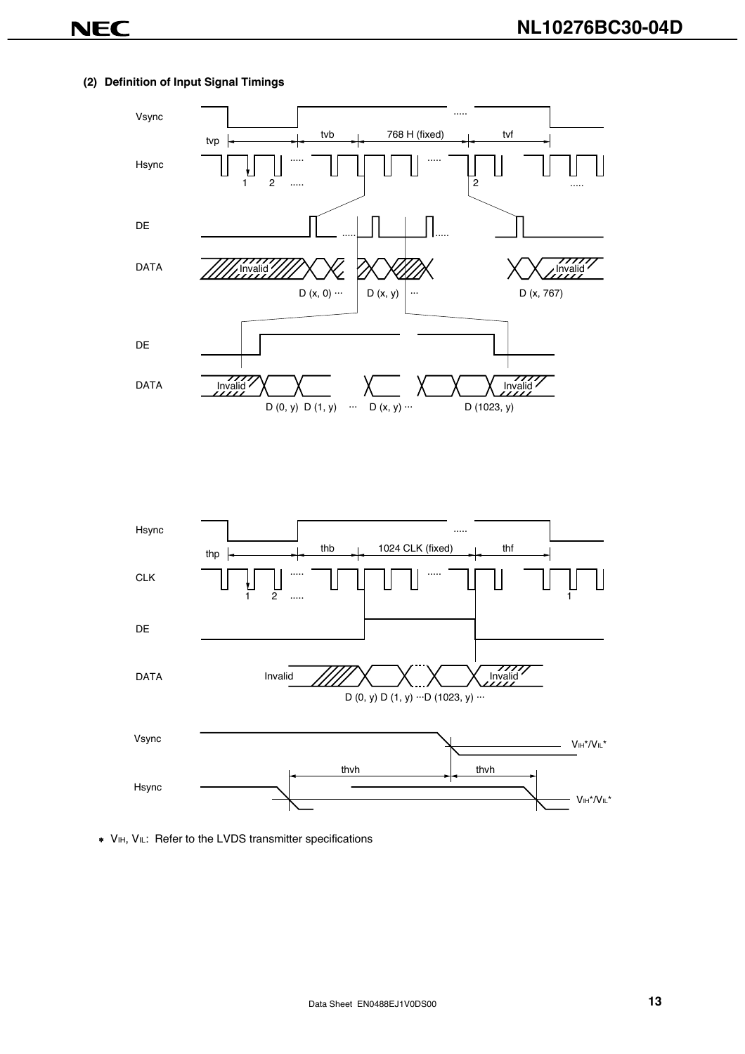#### **(2) Definition of Input Signal Timings**





∗ VIH, VIL: Refer to the LVDS transmitter specifications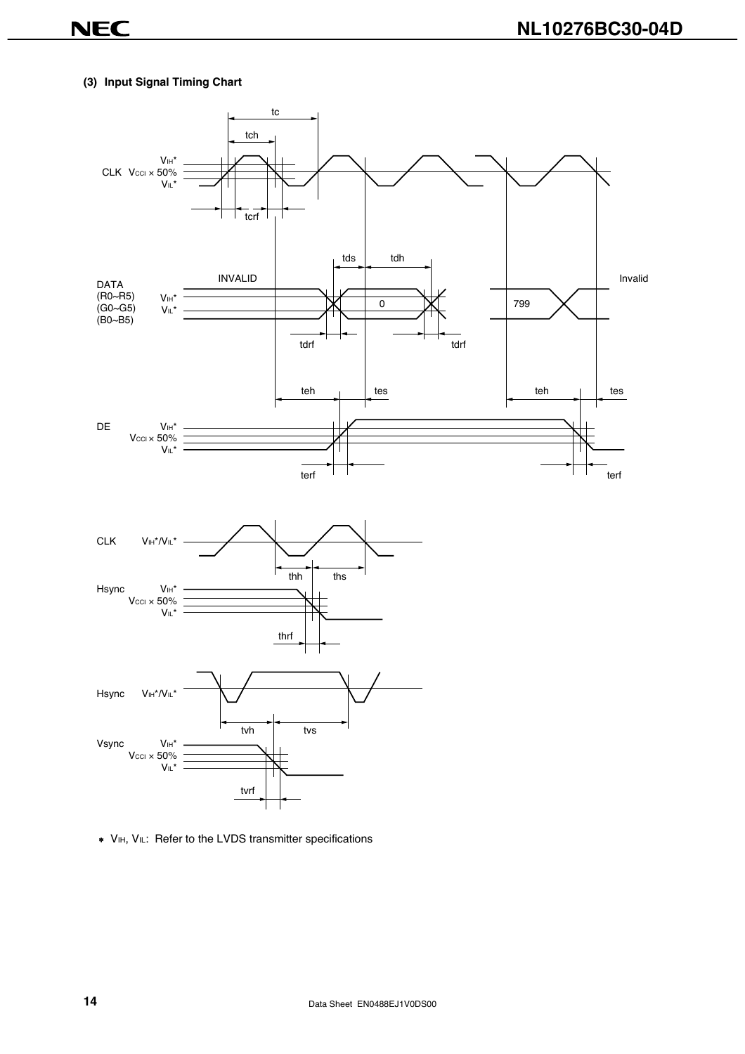#### **(3) Input Signal Timing Chart**



∗ VIH, VIL: Refer to the LVDS transmitter specifications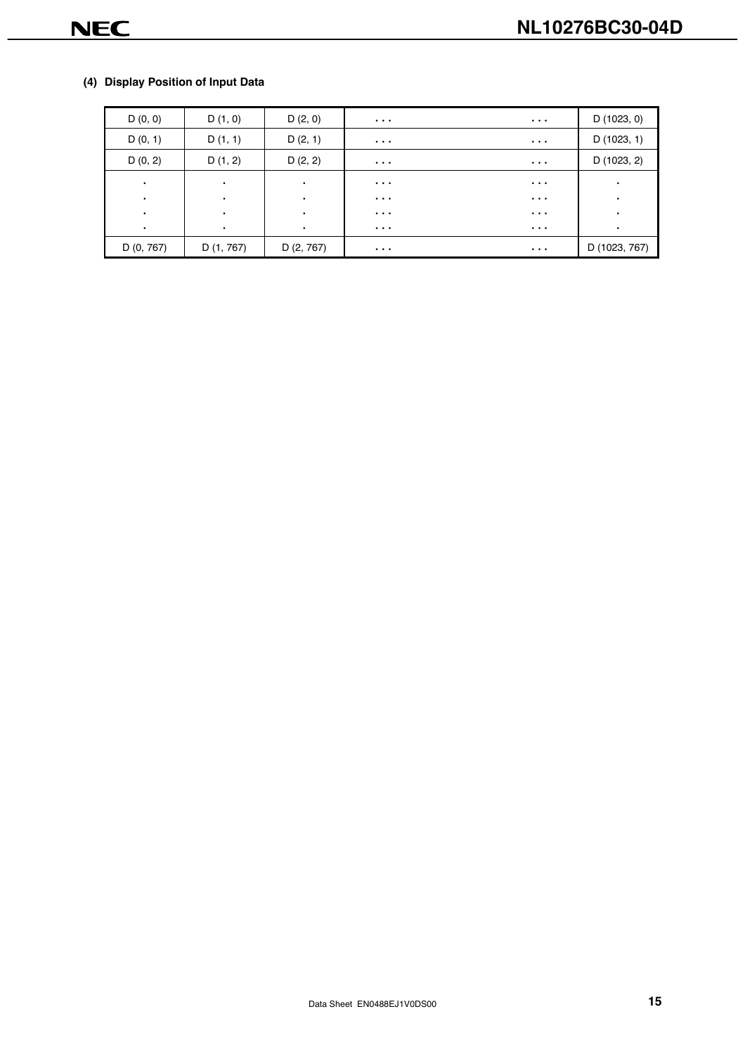#### **(4) Display Position of Input Data**

| D(0, 0)    | D(1, 0)    | D(2, 0)    | $\cdots$ | $\cdots$ | D(1023, 0)    |
|------------|------------|------------|----------|----------|---------------|
| D(0, 1)    | D(1, 1)    | D(2, 1)    | $\cdots$ | $\cdots$ | D(1023, 1)    |
| D(0, 2)    | D(1, 2)    | D(2, 2)    | $\cdots$ | $\cdots$ | D (1023, 2)   |
| $\bullet$  | $\bullet$  | ٠          | $\cdots$ | $\cdots$ | $\bullet$     |
| $\bullet$  | ٠          | ٠          | $\cdots$ | $\cdots$ | ٠             |
| $\bullet$  | $\bullet$  | ٠          | $\cdots$ | $\cdots$ | ٠             |
| $\bullet$  | $\bullet$  | ٠          | $\cdots$ | $\cdots$ | ٠             |
| D (0, 767) | D (1, 767) | D (2, 767) | $\cdots$ | $\cdots$ | D (1023, 767) |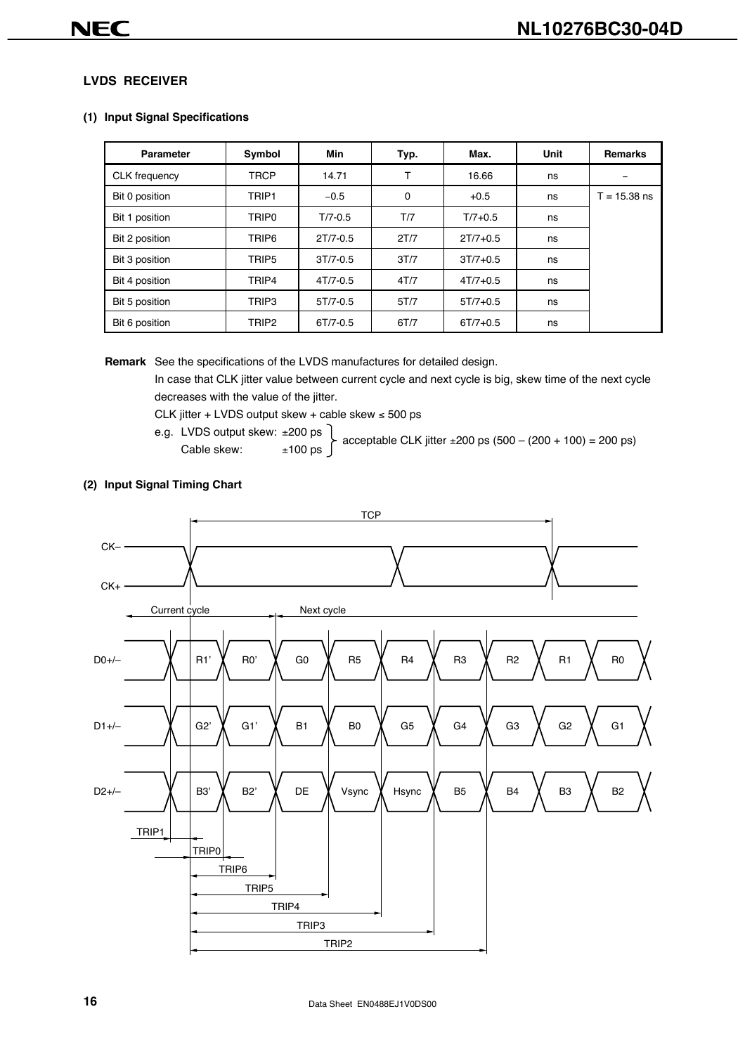#### **LVDS RECEIVER**

#### **(1) Input Signal Specifications**

| Parameter            | Symbol            | <b>Min</b>   | Typ. | Max.         | Unit | Remarks        |
|----------------------|-------------------|--------------|------|--------------|------|----------------|
| <b>CLK</b> frequency | <b>TRCP</b>       | 14.71        | Т    | 16.66        | ns   |                |
| Bit 0 position       | TRIP <sub>1</sub> | $-0.5$       | 0    | $+0.5$       | ns   | $T = 15.38$ ns |
| Bit 1 position       | TRIP <sub>0</sub> | $T/7 - 0.5$  | T/7  | $T/7 + 0.5$  | ns   |                |
| Bit 2 position       | TRIP6             | $2T/7 - 0.5$ | 2T/7 | $2T/7 + 0.5$ | ns   |                |
| Bit 3 position       | TRIP <sub>5</sub> | $3T/7 - 0.5$ | 3T/7 | $3T/7 + 0.5$ | ns   |                |
| Bit 4 position       | TRIP4             | $4T/7 - 0.5$ | 4T/7 | $4T/7 + 0.5$ | ns   |                |
| Bit 5 position       | TRIP3             | $5T/7 - 0.5$ | 5T/7 | $5T/7 + 0.5$ | ns   |                |
| Bit 6 position       | TRIP <sub>2</sub> | $6T/7 - 0.5$ | 6T/7 | $6T/7 + 0.5$ | ns   |                |

**Remark** See the specifications of the LVDS manufactures for detailed design.

In case that CLK jitter value between current cycle and next cycle is big, skew time of the next cycle decreases with the value of the jitter.

CLK jitter + LVDS output skew + cable skew  $\leq 500$  ps

e.g. LVDS output skew: ±200 ps

Cable skew:  $\pm 100 \text{ ps}$  acceptable CLK jitter  $\pm 200 \text{ ps}$  (500 – (200 + 100) = 200 ps)



#### **(2) Input Signal Timing Chart**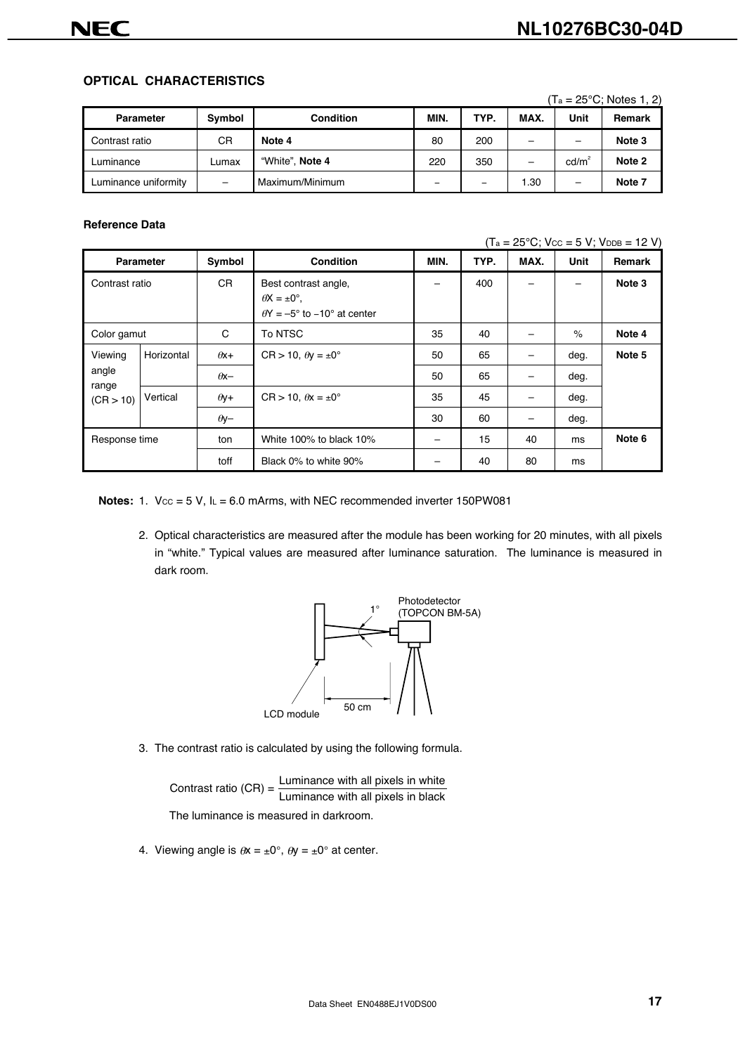#### **OPTICAL CHARACTERISTICS**

|                      |        |                  |      |      |                          |                          | $(T_a = 25^{\circ}C$ ; Notes 1, 2) |
|----------------------|--------|------------------|------|------|--------------------------|--------------------------|------------------------------------|
| Parameter            | Symbol | <b>Condition</b> | MIN. | TYP. | MAX.                     | Unit                     | <b>Remark</b>                      |
| Contrast ratio       | СR     | Note 4           | 80   | 200  |                          |                          | Note 3                             |
| Luminance            | Lumax  | "White", Note 4  | 220  | 350  | $\overline{\phantom{0}}$ | cd/m <sup>2</sup>        | Note 2                             |
| Luminance uniformity | -      | Maximum/Minimum  | -    | -    | 1.30                     | $\overline{\phantom{0}}$ | Note 7                             |

#### **Reference Data**

 $(T_a = 25^{\circ}C$ ;  $V_{CC} = 5 V$ ;  $V_{DDB} = 12 V$ )

|                |                  |             |                                                                                              |      | $\cdots$ |      |      |        |
|----------------|------------------|-------------|----------------------------------------------------------------------------------------------|------|----------|------|------|--------|
|                | <b>Parameter</b> | Symbol      | <b>Condition</b>                                                                             | MIN. | TYP.     | MAX. | Unit | Remark |
| Contrast ratio |                  | CR.         | Best contrast angle,<br>$\theta$ X = $\pm 0^{\circ}$ .<br>$\theta$ Y = -5° to -10° at center |      | 400      |      |      | Note 3 |
| Color gamut    |                  | С           | To NTSC                                                                                      | 35   | 40       |      | $\%$ | Note 4 |
| Viewing        | Horizontal       | $\theta$ x+ | $CR > 10$ , $\theta y = \pm 0^{\circ}$                                                       | 50   | 65       |      | deg. | Note 5 |
| angle<br>range |                  | $\theta$ x- |                                                                                              | 50   | 65       |      | deg. |        |
| (CR > 10)      | Vertical         | $\theta$ y+ | $CR > 10$ , $\theta x = \pm 0^{\circ}$                                                       | 35   | 45       |      | deg. |        |
|                |                  | $\theta$ y- |                                                                                              | 30   | 60       |      | deg. |        |
| Response time  |                  | ton         | White 100% to black 10%                                                                      |      | 15       | 40   | ms   | Note 6 |
|                |                  | toff        | Black 0% to white 90%                                                                        |      | 40       | 80   | ms   |        |

**Notes:** 1. Vcc = 5 V, IL = 6.0 mArms, with NEC recommended inverter 150PW081

2. Optical characteristics are measured after the module has been working for 20 minutes, with all pixels in "white." Typical values are measured after luminance saturation. The luminance is measured in dark room.



3. The contrast ratio is calculated by using the following formula.

Contrast ratio  $(CR) = \frac{\text{Luminance with all pixels in white}}{\text{Luminance with all pixels in black}}$ The luminance is measured in darkroom.

4. Viewing angle is  $\theta x = \pm 0^\circ$ ,  $\theta y = \pm 0^\circ$  at center.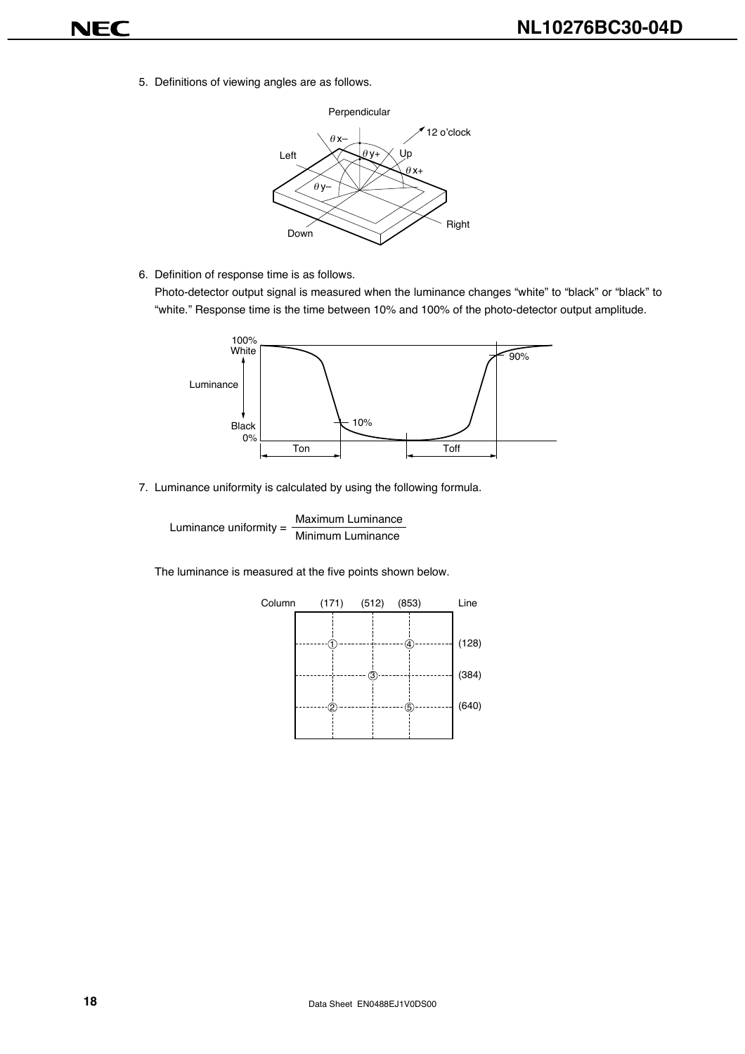- **NEC** 
	- 5. Definitions of viewing angles are as follows.



6. Definition of response time is as follows.

Photo-detector output signal is measured when the luminance changes "white" to "black" or "black" to "white." Response time is the time between 10% and 100% of the photo-detector output amplitude.



7. Luminance uniformity is calculated by using the following formula.

Luminance uniformity =  $\frac{\text{Maximum Luminance}}{\text{Minimum Luminance}}$ 

The luminance is measured at the five points shown below.

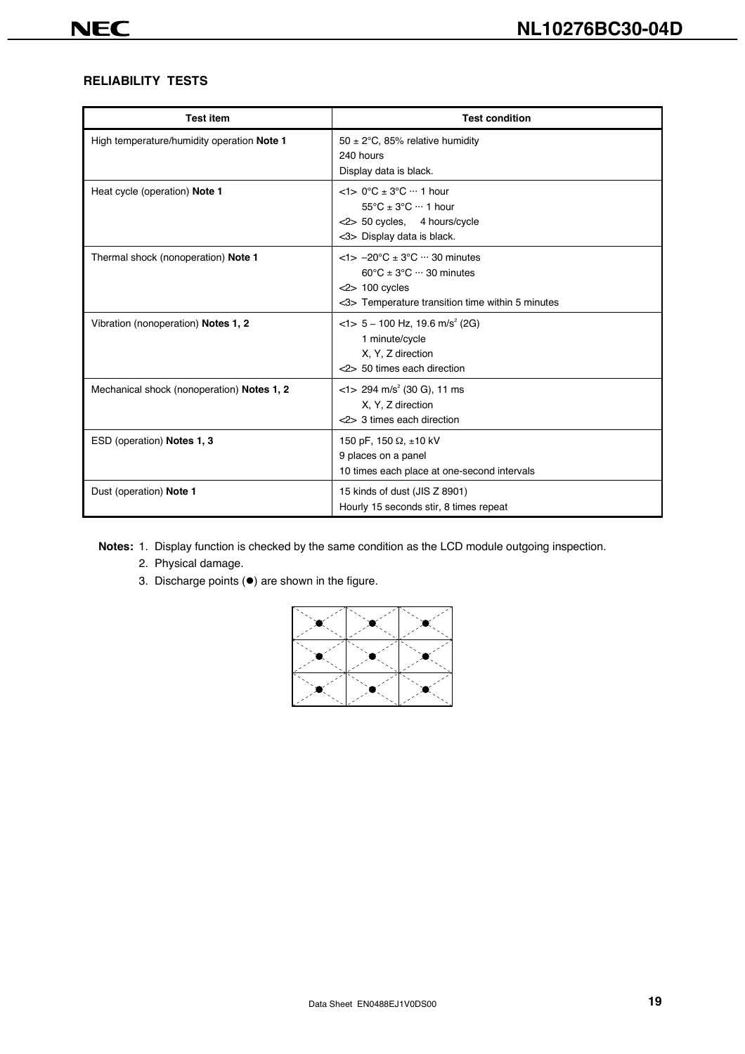#### **RELIABILITY TESTS**

| <b>Test item</b>                           | <b>Test condition</b>                                                                                                                                                         |
|--------------------------------------------|-------------------------------------------------------------------------------------------------------------------------------------------------------------------------------|
| High temperature/humidity operation Note 1 | 50 $\pm$ 2°C, 85% relative humidity<br>240 hours<br>Display data is black.                                                                                                    |
| Heat cycle (operation) Note 1              | $<$ 1> 0°C ± 3°C … 1 hour<br>$55^{\circ}$ C ± $3^{\circ}$ C $\cdots$ 1 hour<br><2> 50 cycles, 4 hours/cycle<br><3> Display data is black.                                     |
| Thermal shock (nonoperation) Note 1        | $<$ 1> $-20$ °C $\pm$ 3°C $\cdots$ 30 minutes<br>$60^{\circ}$ C ± 3 $^{\circ}$ C $\cdots$ 30 minutes<br>$<$ 2> 100 cycles<br><3> Temperature transition time within 5 minutes |
| Vibration (nonoperation) Notes 1, 2        | $<$ 1> 5 ~ 100 Hz, 19.6 m/s <sup>2</sup> (2G)<br>1 minute/cycle<br>X, Y, Z direction<br><2> 50 times each direction                                                           |
| Mechanical shock (nonoperation) Notes 1, 2 | $<$ 1> 294 m/s <sup>2</sup> (30 G), 11 ms<br>X, Y, Z direction<br><2> 3 times each direction                                                                                  |
| ESD (operation) Notes 1, 3                 | 150 pF, 150 $\Omega$ , ±10 kV<br>9 places on a panel<br>10 times each place at one-second intervals                                                                           |
| Dust (operation) Note 1                    | 15 kinds of dust (JIS Z 8901)<br>Hourly 15 seconds stir, 8 times repeat                                                                                                       |

**Notes:** 1. Display function is checked by the same condition as the LCD module outgoing inspection.

- 2. Physical damage.
- 3. Discharge points  $(•)$  are shown in the figure.

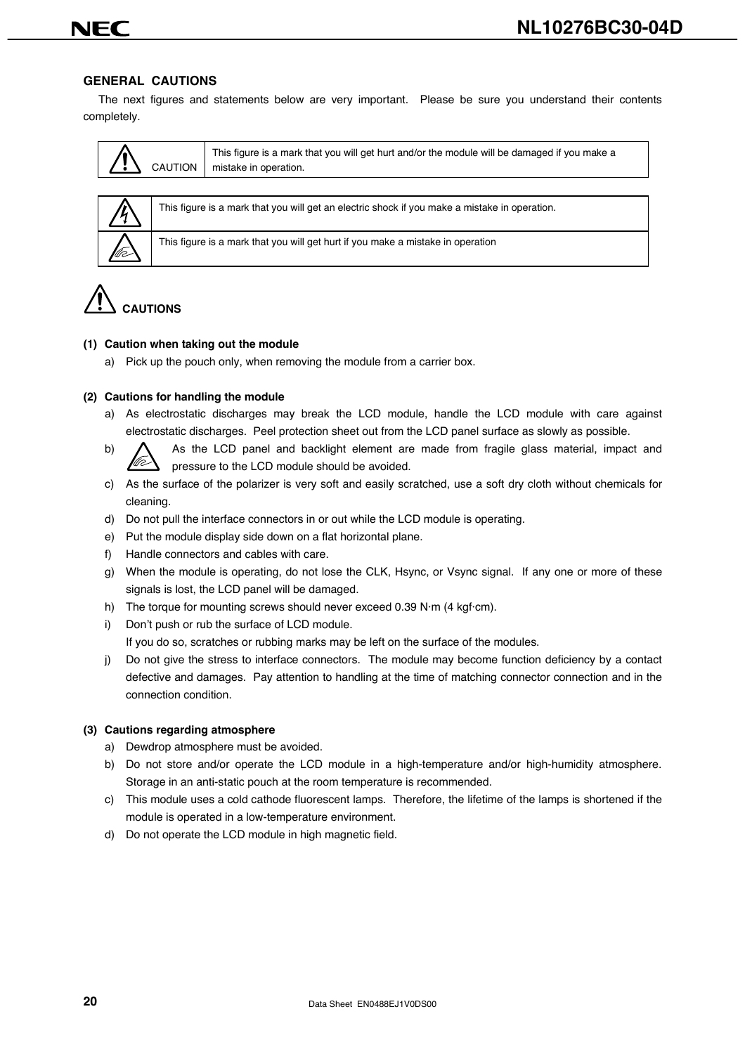#### **GENERAL CAUTIONS**

The next figures and statements below are very important. Please be sure you understand their contents completely.

| This figure is a mark that you will get hurt and/or the module will be damaged if you make a<br>CAUTION   mistake in operation. |
|---------------------------------------------------------------------------------------------------------------------------------|
|---------------------------------------------------------------------------------------------------------------------------------|



This figure is a mark that you will get an electric shock if you make a mistake in operation.

This figure is a mark that you will get hurt if you make a mistake in operation

## **CAUTIONS**

#### **(1) Caution when taking out the module**

a) Pick up the pouch only, when removing the module from a carrier box.

#### **(2) Cautions for handling the module**

- a) As electrostatic discharges may break the LCD module, handle the LCD module with care against electrostatic discharges. Peel protection sheet out from the LCD panel surface as slowly as possible.
- b)  $\bigwedge$  As the LCD panel and backlight element are made from fragile glass material, impact and pressure to the LCD module should be avoided.
- c) As the surface of the polarizer is very soft and easily scratched, use a soft dry cloth without chemicals for cleaning.
- d) Do not pull the interface connectors in or out while the LCD module is operating.
- e) Put the module display side down on a flat horizontal plane.
- f) Handle connectors and cables with care.
- g) When the module is operating, do not lose the CLK, Hsync, or Vsync signal. If any one or more of these signals is lost, the LCD panel will be damaged.
- h) The torque for mounting screws should never exceed 0.39 N·m (4 kgf·cm).
- i) Don't push or rub the surface of LCD module.

If you do so, scratches or rubbing marks may be left on the surface of the modules.

j) Do not give the stress to interface connectors. The module may become function deficiency by a contact defective and damages. Pay attention to handling at the time of matching connector connection and in the connection condition.

#### **(3) Cautions regarding atmosphere**

- a) Dewdrop atmosphere must be avoided.
- b) Do not store and/or operate the LCD module in a high-temperature and/or high-humidity atmosphere. Storage in an anti-static pouch at the room temperature is recommended.
- c) This module uses a cold cathode fluorescent lamps. Therefore, the lifetime of the lamps is shortened if the module is operated in a low-temperature environment.
- d) Do not operate the LCD module in high magnetic field.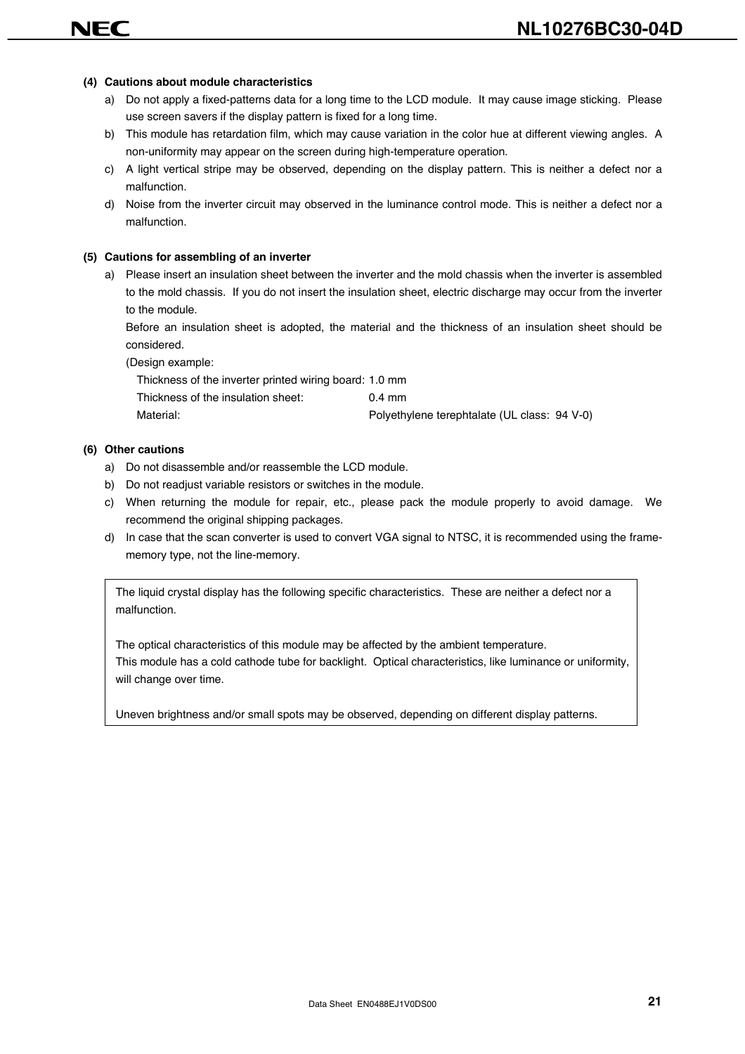#### **(4) Cautions about module characteristics**

- a) Do not apply a fixed-patterns data for a long time to the LCD module. It may cause image sticking. Please use screen savers if the display pattern is fixed for a long time.
- b) This module has retardation film, which may cause variation in the color hue at different viewing angles. A non-uniformity may appear on the screen during high-temperature operation.
- c) A light vertical stripe may be observed, depending on the display pattern. This is neither a defect nor a malfunction.
- d) Noise from the inverter circuit may observed in the luminance control mode. This is neither a defect nor a malfunction.

#### **(5) Cautions for assembling of an inverter**

a) Please insert an insulation sheet between the inverter and the mold chassis when the inverter is assembled to the mold chassis. If you do not insert the insulation sheet, electric discharge may occur from the inverter to the module.

Before an insulation sheet is adopted, the material and the thickness of an insulation sheet should be considered.

(Design example:

Thickness of the inverter printed wiring board: 1.0 mm

Thickness of the insulation sheet: 0.4 mm Material: Polyethylene terephtalate (UL class: 94 V-0)

#### **(6) Other cautions**

- a) Do not disassemble and/or reassemble the LCD module.
- b) Do not readjust variable resistors or switches in the module.
- c) When returning the module for repair, etc., please pack the module properly to avoid damage. We recommend the original shipping packages.
- d) In case that the scan converter is used to convert VGA signal to NTSC, it is recommended using the framememory type, not the line-memory.

The liquid crystal display has the following specific characteristics. These are neither a defect nor a malfunction.

The optical characteristics of this module may be affected by the ambient temperature. This module has a cold cathode tube for backlight. Optical characteristics, like luminance or uniformity, will change over time.

Uneven brightness and/or small spots may be observed, depending on different display patterns.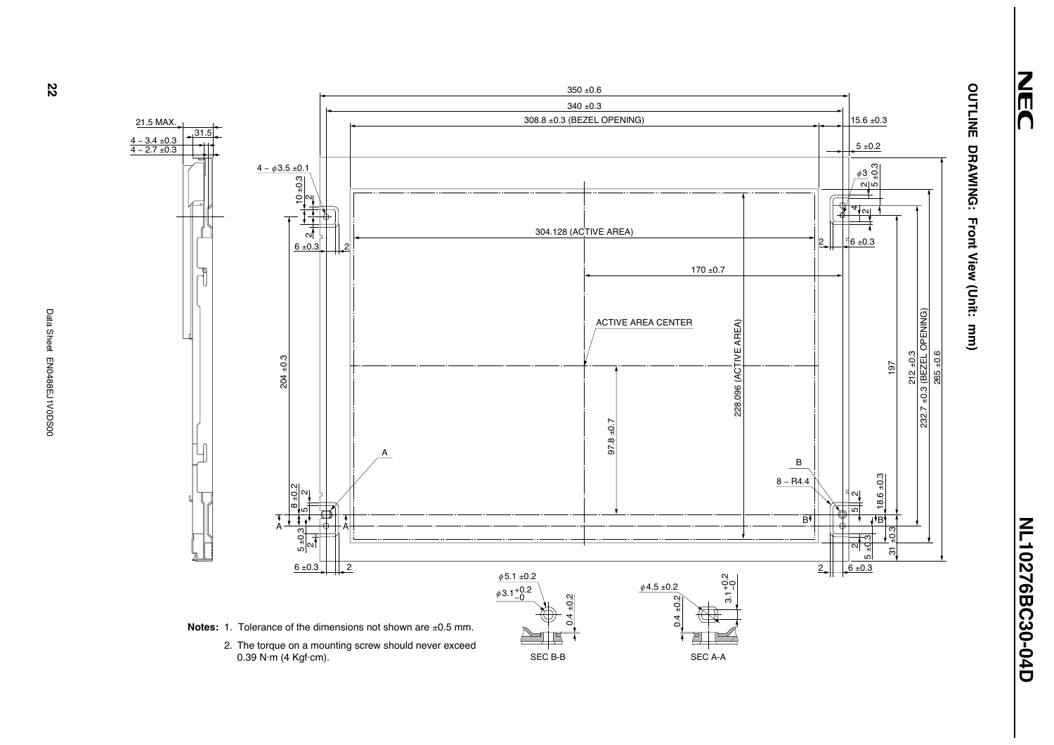

NEC



 $\mathcal{R}$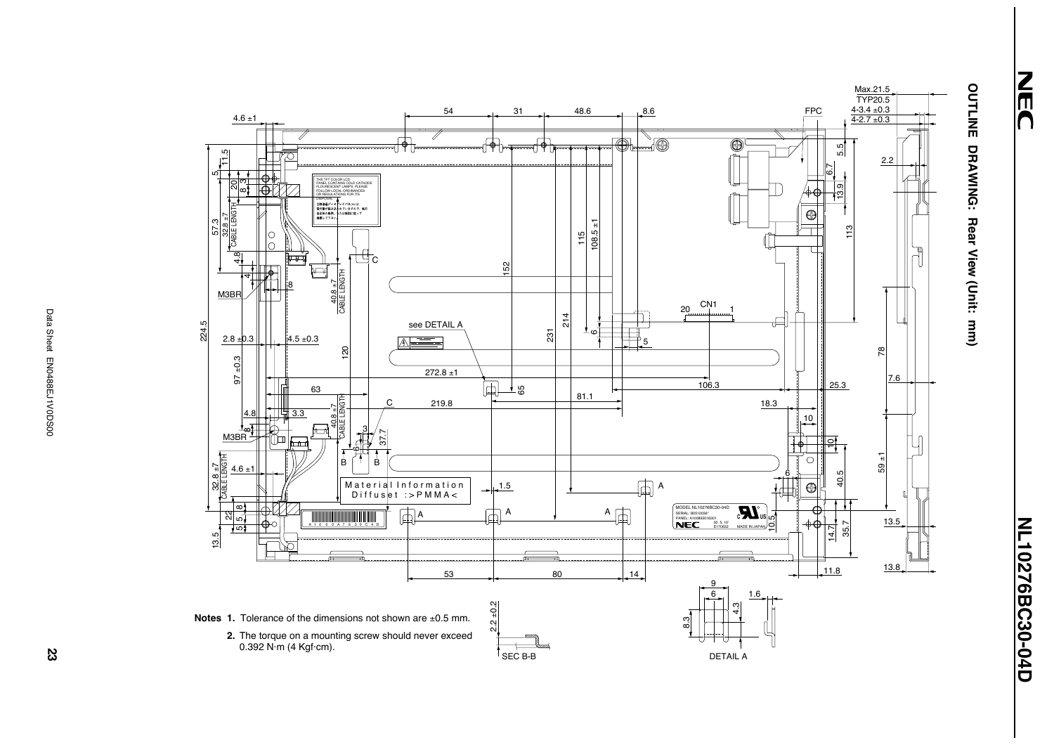